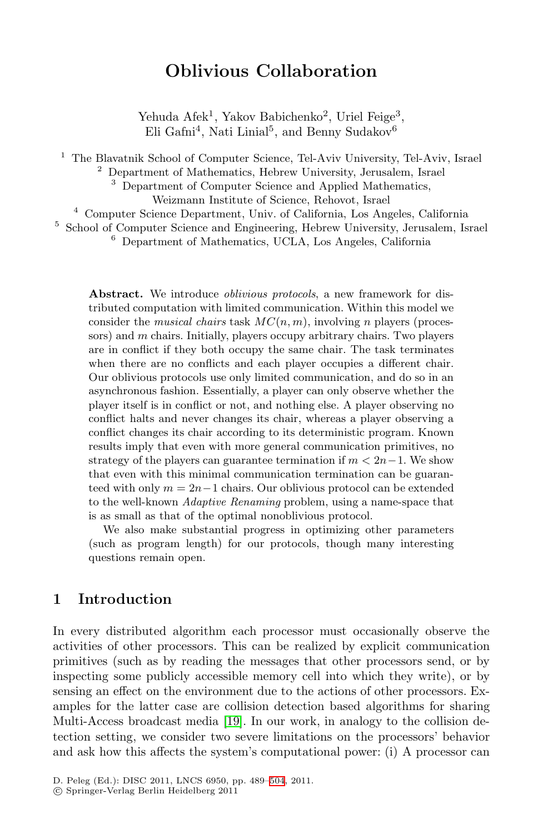# **Oblivious Collaboration**

Yehuda Afek<sup>1</sup>, Yakov Babichenko<sup>2</sup>, Uriel Feige<sup>3</sup>, Eli Gafni<sup>4</sup>, Nati Linial<sup>5</sup>, and Benny Sudakov<sup>6</sup>

<sup>1</sup> The Blavatnik School of Computer Science, Tel-Aviv University, Tel-Aviv, Israel <sup>2</sup> Department of Mathematics, Hebrew University, Jerusalem, Israel

<sup>3</sup> Department of Computer Science and Applied Mathematics,

Weizmann Institute of Science, Rehovot, Israel

<sup>4</sup> Computer Science Department, Univ. of California, Los Angeles, California

<sup>5</sup> School of Computer Science and Engineering, Hebrew University, Jerusalem, Israel

<sup>6</sup> Department of Mathematics, UCLA, Los Angeles, California

**Abstract.** We introduce *oblivious protocols*, a new framework for distributed computation with limited communication. Within this model we consider the *musical chairs* task *MC*(*n, m*), involving *n* players (processors) and *m* chairs. Initially, players occupy arbitrary chairs. Two players are in conflict if they both occupy the same chair. The task terminates when there are no conflicts and each player occupies a different chair. Our oblivious protocols use only limited communication, and do so in an asynchronous fashion. Essentially, a player can only observe whether the player itself is in conflict or not, and nothing else. A player observing no conflict halts and never changes its chair, whereas a player observing a conflict changes its chair according to its deterministic program. Known results imply that even with more general communication primitives, no strategy of the players can guarantee termination if  $m < 2n - 1$ . We show that even with this minimal communication termination can be guaranteed with only  $m = 2n - 1$  chairs. Our oblivious protocol can be extended to the well-known *Adaptive Renaming* problem, using a name-space that is as small as that of the optimal nonoblivious protocol.

We also make substantial progress in optimizing other parameters (such as program length) for our protocols, though many interesting questions remain open.

## **1 Intro[duc](#page-15-0)tion**

In every distributed algorithm each processor must occasionally observe the activities of other processors. This can be realized by explicit communication primitives (such as [by](#page-15-1) reading the messages that other processors send, or by inspecting some publicly accessible memory cell into which they write), or by sensing an effect on the environment due to the actions of other processors. Examples for the latter case are collision detection based algorithms for sharing Multi-Access broadcast media [19]. In our work, in analogy to the collision detection setting, we consider two severe limitations on the processors' behavior and ask how this affects the system's computational power: (i) A processor can

D. Peleg (Ed.): DISC 2011, LNCS 6950, pp. 489–504, 2011.

<sup>-</sup>c Springer-Verlag Berlin Heidelberg 2011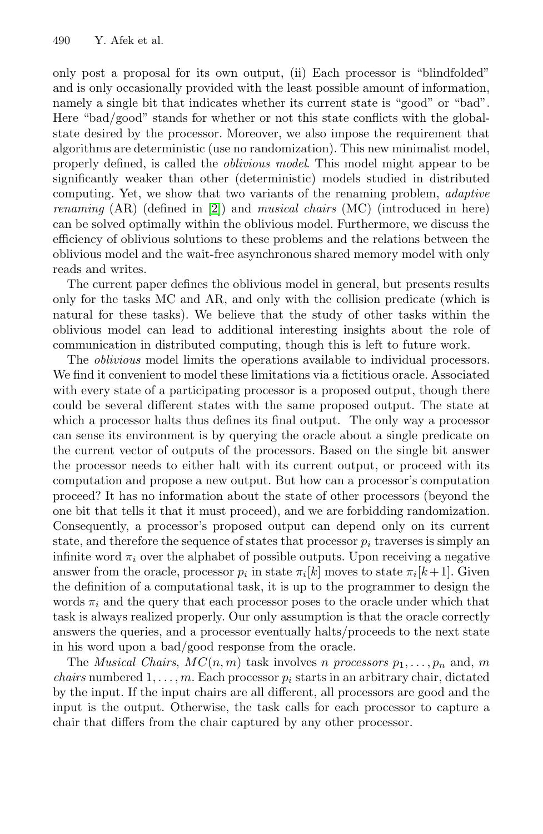only post a proposal for its own output, (ii) Each processor is "blindfolded" and is on[ly](#page-14-0) occasionally provided with the least possible amount of information, namely a single bit that indicates whether its current state is "good" or "bad". Here "bad/good" stands for whether or not this state conflicts with the globalstate desired by the processor. Moreover, we also impose the requirement that algorithms are deterministic (use no randomization). This new minimalist model, properly defined, is called the *oblivious model*. This model might appear to be significantly weaker than other (deterministic) models studied in distributed computing. Yet, we show that two variants of the renaming problem, *adaptive renaming* (AR) (defined in [2]) and *musical chairs* (MC) (introduced in here) can be solved optimally within the oblivious model. Furthermore, we discuss the efficiency of oblivious solutions to these problems and the relations between the oblivious model and the wait-free asynchronous shared memory model with only reads and writes.

The current paper defines the oblivious model in general, but presents results only for the tasks MC and AR, and only with the collision predicate (which is natural for these tasks). We believe that the study of other tasks within the oblivious model can lead to additional interesting insights about the role of communication in distributed computing, though this is left to future work.

The *oblivious* model limits the operations available to individual processors. We find it convenient to model these limitations via a fictitious oracle. Associated with every state of a participating processor is a proposed output, though there could be several different states with the same proposed output. The state at which a processor halts thus defines its final output. The only way a processor can sense its environment is by querying the oracle about a single predicate on the current vector of outputs of the processors. Based on the single bit answer the processor needs to either halt with its current output, or proceed with its computation and propose a new output. But how can a processor's computation proceed? It has no information about the state of other processors (beyond the one bit that tells it that it must proceed), and we are forbidding randomization. Consequently, a processor's proposed output can depend only on its current state, and therefore the sequence of states that processor  $p_i$  traverses is simply an infinite word  $\pi_i$  over the alphabet of possible outputs. Upon receiving a negative answer from the oracle, processor  $p_i$  in state  $\pi_i[k]$  moves to state  $\pi_i[k+1]$ . Given the definition of a computational task, it is up to the programmer to design the words  $\pi_i$  and the query that each processor poses to the oracle under which that task is always realized properly. Our only assumption is that the oracle correctly answers the queries, and a processor eventually halts/proceeds to the next state in his word upon a bad/good response from the oracle.

The *Musical Chairs*,  $MC(n, m)$  task involves n *processors*  $p_1, \ldots, p_n$  and, m *chairs* numbered  $1, \ldots, m$ . Each processor  $p_i$  starts in an arbitrary chair, dictated by the input. If the input chairs are all different, all processors are good and the input is the output. Otherwise, the task calls for each processor to capture a chair that differs from the chair captured by any other processor.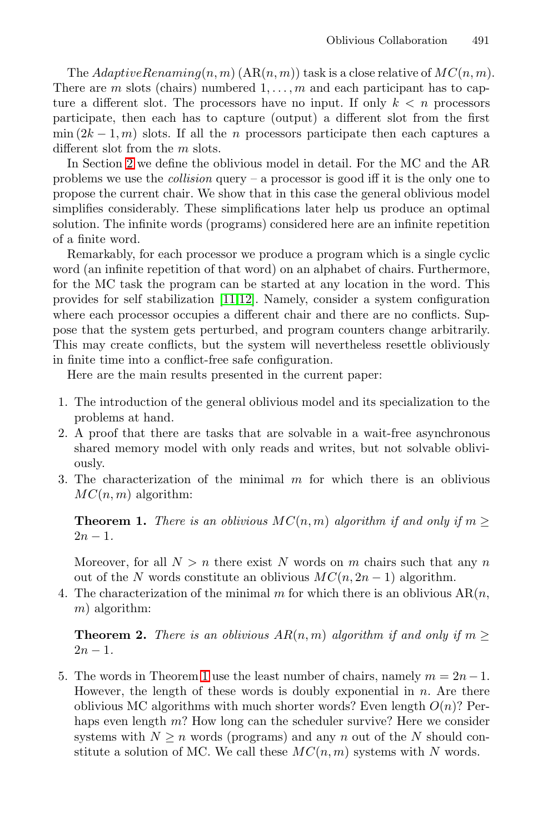The AdaptiveRenaming $(n, m)$  (AR $(n, m)$ ) task is a close relative of  $MC(n, m)$ . There are m slots (chairs) numbered  $1, \ldots, m$  and each participant has to capture a different slot. The processors have no input. If only  $k < n$  processors participate, then each has to capture (output) a different slot from the first  $\min (2k-1, m)$  slots. If all the *n* processors participate then each captures a different slot from the  $m$  slots.

In Section 2 we define the oblivious model in detail. For the MC and the AR problems w[e u](#page-15-2)[se t](#page-15-3)he *collision* query – a processor is good iff it is the only one to propose the current chair. We show that in this case the general oblivious model simplifies considerably. These simplifications later help us produce an optimal solution. The infinite words (programs) considered here are an infinite repetition of a finite word.

Remarkably, for each processor we produce a program which is a single cyclic word (an infinite repetition of that word) on an alphabet of chairs. Furthermore, for the MC task the program can be started at any location in the word. This provides for self stabilization [11,12]. Namely, consider a system configuration where each processor occupies a different chair and there are no conflicts. Suppose that the system gets perturbed, and program counters change arbitrarily. This may create conflicts, but the system will nevertheless resettle obliviously in finite time into a conflict-free safe configuration.

<span id="page-2-0"></span>Here are the main results presented in the current paper:

- 1. The introduction of the general oblivious model and its specialization to the problems at hand.
- 2. A proof that there are tasks that are solvable in a wait-free asynchronous shared memory model with only reads and writes, but not solvable obliviously.
- <span id="page-2-2"></span>3. The characterization of the minimal  $m$  for which there is an oblivious  $MC(n, m)$  algorithm:

**Theorem 1.** *There is an oblivious*  $MC(n, m)$  *algorithm if and only if*  $m \geq$  $2n - 1$ .

Mo[reo](#page-2-0)ver, for all  $N > n$  there exist N words on m chairs such that any n out of the N words constitute an oblivious  $MC(n, 2n-1)$  algorithm.

4. The characterization of the minimal m for which there is an oblivious  $AR(n,$ m) algorithm:

**Theorem 2.** *There is an oblivious*  $AR(n, m)$  *algorithm if and only if*  $m \geq$  $2n - 1$ .

<span id="page-2-1"></span>5. The words in Theorem 1 use the least number of chairs, namely  $m = 2n - 1$ . However, the length of these words is doubly exponential in  $n$ . Are there oblivious MC algorithms with much shorter words? Even length  $O(n)$ ? Perhaps even length  $m$ ? How long can the scheduler survive? Here we consider systems with  $N \geq n$  words (programs) and any n out of the N should constitute a solution of MC. We call these  $MC(n, m)$  systems with N words.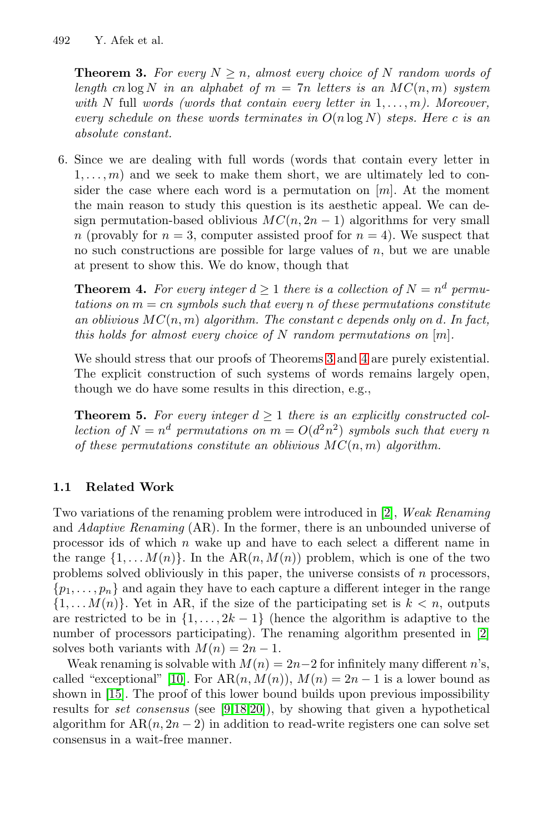<span id="page-3-0"></span>**Theorem 3.** For every  $N \geq n$ , almost every choice of N random words of *length* cn  $\log N$  *in an alphabet of*  $m = 7n$  *letters is an*  $MC(n, m)$  *system with* N full *words (words that contain every letter in* 1,...,m*). Moreover, every schedule on these words terminates in* O(n log N) *steps. Here* c *is an absolute constant.*

6. Since we are dealing with full words (words that contain every letter in  $1,\ldots,m$  and we seek to make them short, we are ultimately led to consider the case where each word is a permutation on  $[m]$ . At the moment the main reason to study this question is its aesthetic appeal. We can design permutation-based oblivious  $MC(n, 2n - 1)$  algorithms for very small n (provably for  $n = 3$ , co[mpu](#page-2-1)ter [as](#page-3-0)sisted proof for  $n = 4$ ). We suspect that no such constructions are possible for large values of  $n$ , but we are unable at present to show this. We do know, though that

**Theorem 4.** For every integer  $d \geq 1$  there is a collection of  $N = n^d$  permu*tations on*  $m = cn$  *symbols such that every* n *of these permutations constitute an oblivious* MC(n, m) *algorithm. The constant* c *depends only on* d*. In fact, this holds for almost every choice of* N *random permutations on* [m]*.*

We should stress that our proofs of Theorems 3 and 4 are purely existential. The explicit construction of such systems of words remains largely open, though we do have some results in t[his](#page-14-0) direction, e.g.,

**Theorem 5.** For every integer  $d \geq 1$  there is an explicitly constructed col*lection of*  $N = n^d$  *permutations on*  $m = O(d^2n^2)$  *symbols such that every* n *of these permutations constitute an oblivious* MC(n, m) *algorithm.*

#### **1.1 Related Work**

Two variations of the renaming problem were introduced i[n \[](#page-14-0)2], *Weak Renaming* and *Adaptive Renaming* (AR). In the former, there is an unbounded universe of processor ids of which  $n$  wake up and have to each select a different name in th[e ra](#page-15-4)nge  $\{1,\ldots M(n)\}\.$  In the  $AR(n, M(n))$  problem, which is one of the two problems solved obliviously in this paper, the universe consists of  $n$  processors,  $\{p_1,\ldots,p_n\}$  [a](#page-15-5)[nd](#page-15-6) [aga](#page-15-7)in they have to each capture a different integer in the range  $\{1,\ldots M(n)\}\.$  Yet in AR, if the size of the participating set is  $k < n$ , outputs are restricted to be in  $\{1,\ldots, 2k-1\}$  (hence the algorithm is adaptive to the number of processors participating). The renaming algorithm presented in [2] solves both variants with  $M(n)=2n-1$ .

Weak renaming is solvable with  $M(n)=2n-2$  for infinitely many different n's, called "exceptional" [10]. For AR $(n, M(n))$ ,  $M(n)=2n-1$  is a lower bound as shown in [15]. The proof of this lower bound builds upon previous impossibility results for *set consensus* (see [9,18,20]), by showing that given a hypothetical algorithm for  $AR(n, 2n-2)$  in addition to read-write registers one can solve set consensus in a wait-free manner.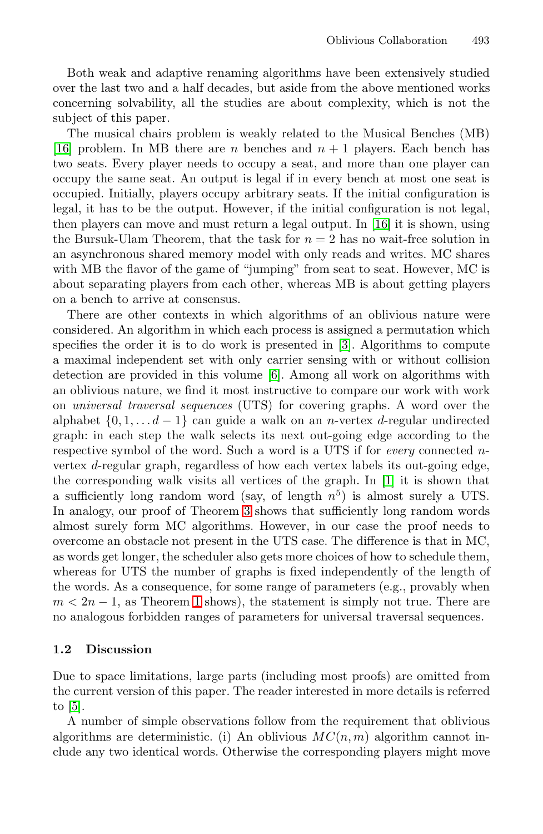Both weak and adaptive renaming algorithms have been extensively studied over the last two and a half decades, but aside from the above mentioned works concerning solvability, all the studies [are](#page-15-8) about complexity, which is not the subject of this paper.

The musical chairs problem is weakly related to the Musical Benches (MB) [16] problem. In MB there are *n* benches and  $n + 1$  players. Each bench has two seats. Every player needs to occupy a seat, and more than one player can occupy the same seat. An output is legal if in every bench at most one seat is occupied. Initially, players occupy arbitrary seats. If the initial configuration is legal, it has to be the output. However, if the initial configuration is not legal, then players can move and must [ret](#page-14-1)urn a legal output. In [16] it is shown, using the Bursuk-Ulam Theorem, that the task for  $n = 2$  has no wait-free solution in an asynchronous sh[are](#page-14-2)d memory model with only reads and writes. MC shares with MB the flavor of the game of "jumping" from seat to seat. However, MC is about separating players from each other, whereas MB is about getting players on a bench to arrive at consensus.

There are other contexts in which algorithms of an oblivious nature were considered. An algorithm in which each process is assigned a permutation which specifies the order it is to do work is presented in [3]. Algorithms to compute a maximal independent set with only ca[rr](#page-14-3)ier sensing with or without collision detection are provided in this volume [6]. Among all work on algorithms with an oblivious na[tu](#page-2-1)re, we find it most instructive to compare our work with work on *universal traversal sequences* (UTS) for covering graphs. A word over the alphabet  $\{0, 1, \ldots d-1\}$  can guide a walk on an *n*-vertex *d*-regular undirected graph: in each step the walk selects its next out-going edge according to the respective symbol of the word. Such a word is a UTS if for *every* connected nvertex d-regular graph, regardless of how each vertex labels its out-going edge, the co[rre](#page-2-0)sponding walk visits all vertices of the graph. In [1] it is shown that a sufficiently long random word (say, of length  $n<sup>5</sup>$ ) is almost surely a UTS. In analogy, our proof of Theorem 3 shows that sufficiently long random words almost surely form MC algorithms. However, in our case the proof needs to overcome an obstacle not present in the UTS case. The difference is that in MC, as words get longer, the scheduler also gets more choices of how to schedule them, whereas for UTS the number of graphs is fixed independently of the length of the words. As a consequence, for some range of parameters (e.g., provably when  $m < 2n - 1$ , as Theorem 1 shows), the statement is simply not true. There are no analogous forbidden ranges of parameters for universal traversal sequences.

#### **1.2 Discussion**

Due to space limitations, large parts (including most proofs) are omitted from the current version of this paper. The reader interested in more details is referred to [5].

A number of simple observations follow from the requirement that oblivious algorithms are deterministic. (i) An oblivious  $MC(n, m)$  algorithm cannot include any two identical words. Otherwise the corresponding players might move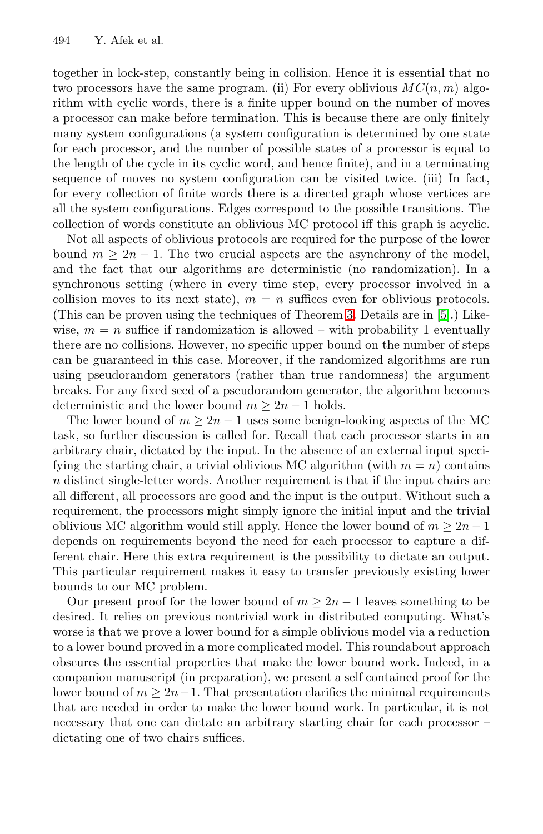together in lock-step, constantly being in collision. Hence it is essential that no two processors have the same program. (ii) For every oblivious  $MC(n, m)$  algorithm with cyclic words, there is a finite upper bound on the number of moves a processor can make before termination. This is because there are only finitely many system configurations (a system configuration is determined by one state for each processor, and the number of possible states of a processor is equal to the length of the cycle in its cyclic word, and hence finite), and in a terminating sequence of moves no system configuration can be visited twice. (iii) In fact, for every collection of finite word[s t](#page-2-1)here is a direc[ted](#page-14-4) graph whose vertices are all the system configurations. Edges correspond to the possible transitions. The collection of words constitute an oblivious MC protocol iff this graph is acyclic.

Not all aspects of oblivious protocols are required for the purpose of the lower bound  $m \geq 2n - 1$ . The two crucial aspects are the asynchrony of the model, and the fact that our algorithms are deterministic (no randomization). In a synchronous setting (where in every time step, every processor involved in a collision moves to its next state),  $m = n$  suffices even for oblivious protocols. (This can be proven using the techniques of Theorem 3. Details are in [5].) Likewise,  $m = n$  suffice if randomization is allowed – with probability 1 eventually there are no collisions. However, no specific upper bound on the number of steps can be guaranteed in this case. Moreover, if the randomized algorithms are run using pseudorandom generators (rather than true randomness) the argument breaks. For any fixed seed of a pseudorandom generator, the algorithm becomes deterministic and the lower bound  $m \geq 2n - 1$  holds.

The lower bound of  $m \geq 2n - 1$  uses some benign-looking aspects of the MC task, so further discussion is called for. Recall that each processor starts in an arbitrary chair, dictated by the input. In the absence of an external input specifying the starting chair, a trivial oblivious MC algorithm (with  $m = n$ ) contains n distinct single-letter words. Another requirement is that if the input chairs are all different, all processors are good and the input is the output. Without such a requirement, the processors might simply ignore the initial input and the trivial oblivious MC algorithm would still apply. Hence the lower bound of  $m \geq 2n - 1$ depends on requirements beyond the need for each processor to capture a different chair. Here this extra requirement is the possibility to dictate an output. This particular requirement makes it easy to transfer previously existing lower bounds to our MC problem.

Our present proof for the lower bound of  $m \geq 2n - 1$  leaves something to be desired. It relies on previous nontrivial work in distributed computing. What's worse is that we prove a lower bound for a simple oblivious model via a reduction to a lower bound proved in a more complicated model. This roundabout approach obscures the essential properties that make the lower bound work. Indeed, in a companion manuscript (in preparation), we present a self contained proof for the lower bound of  $m \geq 2n-1$ . That presentation clarifies the minimal requirements that are needed in order to make the lower bound work. In particular, it is not necessary that one can dictate an arbitrary starting chair for each processor – dictating one of two chairs suffices.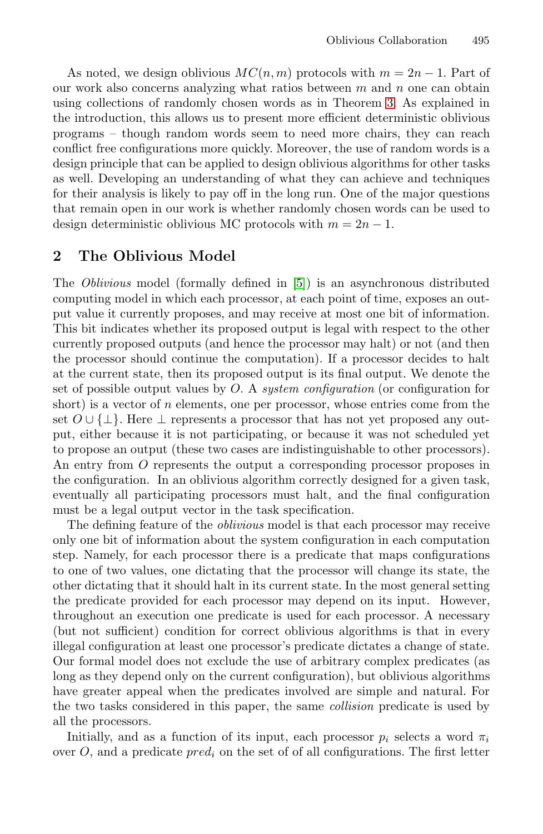As noted, we design oblivious  $MC(n, m)$  protocols with  $m = 2n - 1$ . Part of our work also concerns analyzing what ratios between  $m$  and  $n$  one can obtain using collections of randomly chosen words as in Theorem 3. As explained in the introduction, this allows us to present more efficient deterministic oblivious programs – though random words seem to need more chairs, they can reach conflict free configurations more quickly. Moreover, the use of random words is a design principle that can [be](#page-14-4) applied to design oblivious algorithms for other tasks as well. Developing an understanding of what they can achieve and techniques for their analysis is likely to pay off in the long run. One of the major questions that remain open in our work is whether randomly chosen words can be used to design deterministic oblivious MC protocols with  $m = 2n - 1$ .

## **2 The Oblivious Model**

The *Oblivious* model (formally defined in [5]) is an asynchronous distributed computing model in which each processor, at each point of time, exposes an output value it currently proposes, and may receive at most one bit of information. This bit indicates whether its proposed output is legal with respect to the other currently proposed outputs (and hence the processor may halt) or not (and then the processor should continue the computation). If a processor decides to halt at the current state, then its proposed output is its final output. We denote the set of possible output values by O. A *system configuration* (or configuration for short) is a vector of  $n$  elements, one per processor, whose entries come from the set  $O \cup {\{\perp\}}$ . Here  $\perp$  represents a processor that has not yet proposed any output, either because it is not participating, or because it was not scheduled yet to propose an output (these two cases are indistinguishable to other processors). An entry from O represents the output a corresponding processor proposes in the configuration. In an oblivious algorithm correctly designed for a given task, eventually all participating processors must halt, and the final configuration must be a legal output vector in the task specification.

The defining feature of the *oblivious* model is that each processor may receive only one bit of information about the system configuration in each computation step. Namely, for each processor there is a predicate that maps configurations to one of two values, one dictating that the processor will change its state, the other dictating that it should halt in its current state. In the most general setting the predicate provided for each processor may depend on its input. However, throughout an execution one predicate is used for each processor. A necessary (but not sufficient) condition for correct oblivious algorithms is that in every illegal configuration at least one processor's predicate dictates a change of state. Our formal model does not exclude the use of arbitrary complex predicates (as long as they depend only on the current configuration), but oblivious algorithms have greater appeal when the predicates involved are simple and natural. For the two tasks considered in this paper, the same *collision* predicate is used by all the processors.

Initially, and as a function of its input, each processor  $p_i$  selects a word  $\pi_i$ over  $O$ , and a predicate  $pred_i$  on the set of of all configurations. The first letter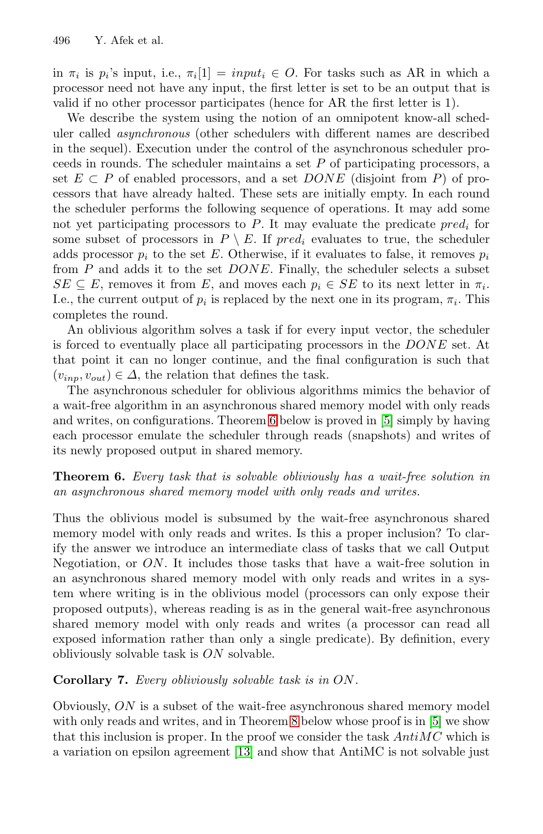in  $\pi_i$  is  $p_i$ 's input, i.e.,  $\pi_i[1] = input_i \in O$ . For tasks such as AR in which a processor need not have any input, the first letter is set to be an output that is valid if no other processor participates (hence for AR the first letter is 1).

We describe the system using the notion of an omnipotent know-all scheduler called *asynchronous* (other schedulers with different names are described in the sequel). Execution under the control of the asynchronous scheduler proceeds in rounds. The scheduler maintains a set P of participating processors, a set  $E \subset P$  of enabled processors, and a set  $DONE$  (disjoint from P) of processors that have already halted. These sets are initially empty. In each round the scheduler performs the following sequence of operations. It may add some not yet participating processors to  $P$ . It may evaluate the predicate  $pred_i$  for some subset of processors in  $P \setminus E$ . If pred<sub>i</sub> evaluates to true, the scheduler adds processor  $p_i$  to the set E. Otherwise, if it evaluates to false, it removes  $p_i$ from  $P$  and adds it to the set  $DONE$ . Finally, the scheduler selects a subset  $SE \subseteq E$ , removes it from E, and moves each  $p_i \in SE$  to its next letter in  $\pi_i$ . I.e., the current out[pu](#page-7-0)t of  $p_i$  is replaced [by](#page-14-4) the next one in its program,  $\pi_i$ . This completes the round.

<span id="page-7-0"></span>An oblivious algorithm solves a task if for every input vector, the scheduler is forced to eventually place all participating processors in the DONE set. At that point it can no longer continue, and the final configuration is such that  $(v_{inp}, v_{out}) \in \Delta$ , the relation that defines the task.

The asynchronous scheduler for oblivious algorithms mimics the behavior of a wait-free algorithm in an asynchronous shared memory model with only reads and writes, on configurations. Theorem 6 below is proved in [5] simply by having each processor emulate the scheduler through reads (snapshots) and writes of its newly proposed output in shared memory.

**Theorem 6.** *Every task that is solvable obliviously has a wait-free solution in an asynchronous shared memory model with only reads and writes.*

Thus the oblivious model is subsumed by the wait-free asynchronous shared memory model with only reads and writes. Is this a proper inclusion? To clarify the answer we introduce an intermediate class of tasks that we call Output Negotiation, or ON. It includes those tasks that have a wait-free solution in an asynchronous shared memory model with only reads and writes in a system where writing is in the oblivious model (processors can only expose their proposed outputs), whe[rea](#page-8-0)s reading is as in the [gen](#page-14-4)eral wait-free asynchronous shared memory model with only reads and writes (a processor can read all exposed infor[mat](#page-15-9)ion rather than only a single predicate). By definition, every obliviously solvable task is ON solvable.

### **Corollary 7.** *Every obliviously solvable task is in* ON*.*

Obviously, ON is a subset of the wait-free asynchronous shared memory model with only reads and writes, and in Theorem 8 below whose proof is in [5] we show that this inclusion is proper. In the proof we consider the task  $AntiMC$  which is a variation on epsilon agreement [13] and show that AntiMC is not solvable just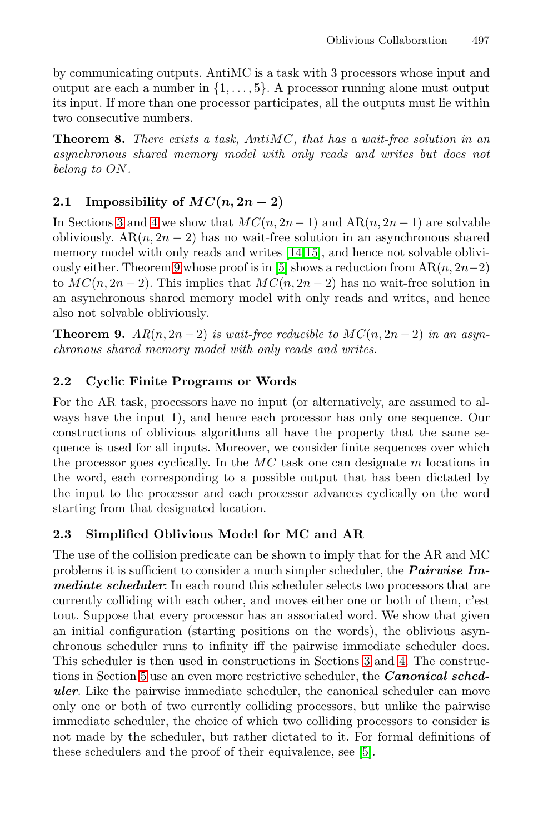<span id="page-8-0"></span>by communicating outputs. AntiMC is a task with 3 processors whose input and output are each a number in  $\{1,\ldots,5\}$ . A processor running alone must output [i](#page-11-0)ts input. If more than one processor participates, all the outputs must lie within two consecutive numbers.

**Theorem 8.** *There exi[sts](#page-15-10) [a](#page-15-11) [t](#page-15-11)ask,* AntiMC*, that has a wait-free solution in an as[ync](#page-8-1)hronous shared [m](#page-14-4)emory model with only reads and writes but does not belong to* ON*.*

### <span id="page-8-1"></span>**2.1** Impossibility of  $MC(n, 2n - 2)$

In Sections 3 and 4 we show that  $MC(n, 2n-1)$  and  $AR(n, 2n-1)$  are solvable obliviously.  $AR(n, 2n - 2)$  has no wait-free solution in an asynchronous shared memory model with only reads and writes [14,15], and hence not solvable obliviously either. Theorem 9 whose proof is in [5] shows a reduction from  $AR(n, 2n-2)$ to  $MC(n, 2n-2)$ . This implies that  $MC(n, 2n-2)$  has no wait-free solution in an asynchronous shared memory model with only reads and writes, and hence also not solvable obliviously.

**Theorem 9.**  $AR(n, 2n-2)$  *is wait-free reducible to*  $MC(n, 2n-2)$  *in an asynchronous shared memory model with only reads and writes.*

### **2.2 Cyclic Finite Programs or Words**

<span id="page-8-2"></span>For the AR task, processors have no input (or alternatively, are assumed to always have the input 1), and hence each processor has only one sequence. Our constructions of oblivious algorithms all have the property that the same sequence is used for all inputs. Moreover, we consider finite sequences over which the processor goes cyclically. In the  $MC$  task one can designate m locations in the word, each corresponding to a possible output that has been dictated by the input to the processor and each processor advances cyclically on the word starting from that designated location.

### **2.3 Simplified Oblivious Model [fo](#page-9-0)r [MC](#page-11-0) and AR**

The use of the collision predicate can be shown to imply that for the AR and MC problems it is sufficient to consider a much simpler scheduler, the *Pairwise Immediate scheduler*: In each round this scheduler selects two processors that are currently colliding with each other, and moves either one or both of them, c'est tout. Suppose that every processor has an associated word. We show that given an initial configuration (starting po[sit](#page-14-4)ions on the words), the oblivious asynchronous scheduler runs to infinity iff the pairwise immediate scheduler does. This scheduler is then used in constructions in Sections 3 and 4. The constructions in Section 5 use an even more restrictive scheduler, the *Canonical scheduler*. Like the pairwise immediate scheduler, the canonical scheduler can move only one or both of two currently colliding processors, but unlike the pairwise immediate scheduler, the choice of which two colliding processors to consider is not made by the scheduler, but rather dictated to it. For formal definitions of these schedulers and the proof of their equivalence, see [5].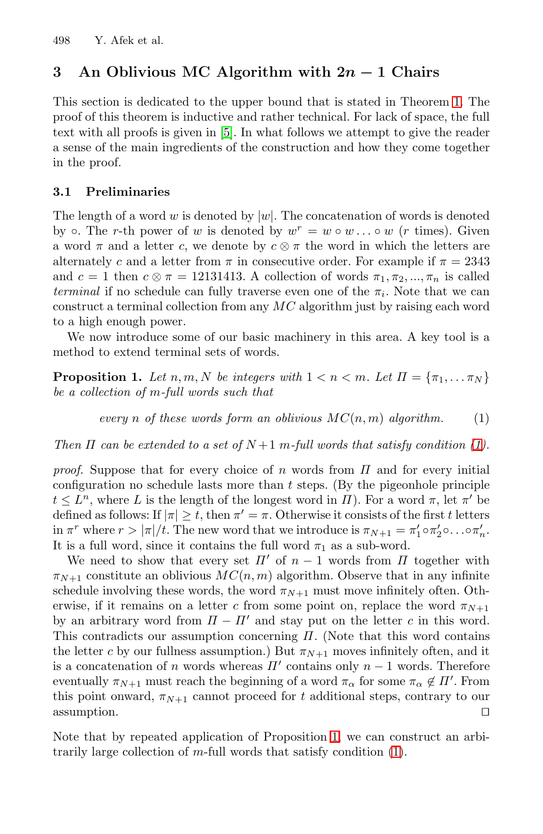## <span id="page-9-0"></span>**3 An Oblivious MC Algorithm with 2***n −* **1 Chairs**

This section is dedicated to the upper bound that is stated in Theorem 1. The proof of this theorem is inductive and rather technical. For lack of space, the full text with all proofs is given in [5]. In what follows we attempt to give the reader a sense of the main ingredients of the construction and how they come together in the proof.

#### **3.1 Preliminaries**

<span id="page-9-2"></span>The length of a word w is denoted by  $|w|$ . The concatenation of words is denoted by  $\circ$ . The r-th power of w is denoted by  $w^r = w \circ w \dots \circ w$  (r times). Given a word  $\pi$  and a letter c, we denote by  $c \otimes \pi$  the word in which the letters are alternately c and a letter from  $\pi$  in consecutive order. For example if  $\pi = 2343$ and  $c = 1$  then  $c \otimes \pi = 12131413$ . A collection of words  $\pi_1, \pi_2, ..., \pi_n$  is called *terminal* if no schedule can fully traverse even one of the  $\pi_i$ . Note that we can construct a terminal collection from any MC algorithm just by raising each word to a high enough power.

<span id="page-9-1"></span>We now introduce some of our basic machinery in thi[s](#page-9-1) [a](#page-9-1)rea. A key tool is a method to extend terminal sets of words.

**Proposition 1.** Let  $n, m, N$  be integers with  $1 < n < m$ . Let  $\Pi = \{\pi_1, \dots \pi_N\}$ *be a collection of* m*-full words such that*

*every n* of these words form an oblivious  $MC(n, m)$  *algorithm.* (1)

*Then*  $\Pi$  *can be extended to a set of*  $N+1$  *m-full words that satisfy condition (1).* 

*proof.* Suppose that for every choice of  $n$  words from  $\Pi$  and for every initial configuration no schedule lasts more than  $t$  steps. (By the pigeonhole principle  $t \leq L^n$ , where L is the length of the longest word in  $\Pi$ ). For a word  $\pi$ , let  $\pi'$  be defined as follows: If  $|\pi| \geq t$ , then  $\pi' = \pi$ . Otherwise it consists of the first t letters in  $\pi^r$  where  $r > |\pi|/t$ . The new word that we introduce is  $\pi_{N+1} = \pi'_1 \circ \pi'_2 \circ \dots \circ \pi'_n$ . It is a full word, since it contains the full word  $\pi_1$  as a sub-word.

We need to show that every set  $\Pi'$  of  $n-1$  words from  $\Pi$  together with  $\pi_{N+1}$  constitute an oblivious  $MC(n, m)$  algorithm. Observe that in any infinite schedule involving these words, the word  $\pi_{N+1}$  must move infinitely often. Otherwise, if it remains on a letter c from some point on, replace the word  $\pi_{N+1}$ by an arbitrary word from  $\Pi - \Pi'$  and stay put on the letter c in this word. This contradicts our assumption concerni[ng](#page-9-1)  $\Pi$ . (Note that this word contains the letter c by our fullness assumption.) But  $\pi_{N+1}$  moves infinitely often, and it is a concatenation of n words whereas  $\Pi'$  contains only  $n-1$  words. Therefore eventually  $\pi_{N+1}$  must reach the beginning of a word  $\pi_{\alpha}$  for some  $\pi_{\alpha} \notin \Pi'$ . From this point onward,  $\pi_{N+1}$  cannot proceed for t additional steps, contrary to our assumption.

Note that by repeated application of Proposition 1, we can construct an arbitrarily large collection of  $m$ -full words that satisfy condition  $(1)$ .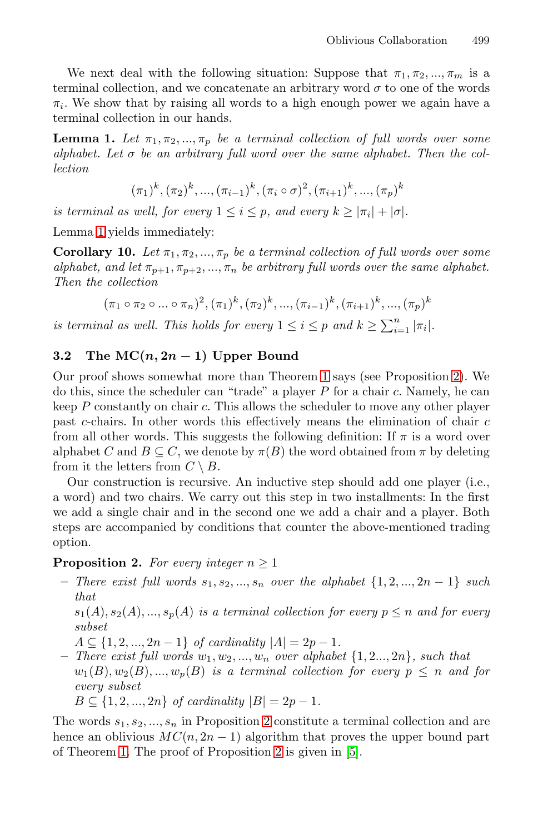We next deal with the following situation: Suppose that  $\pi_1, \pi_2, ..., \pi_m$  is a terminal collection, and we concatenate an arbitrary word  $\sigma$  to one of the words  $\pi_i$ . We show that by raising all words to a high enough power we again have a terminal collection in our hands.

**Lemma 1.** Let  $\pi_1, \pi_2, ..., \pi_p$  be a terminal collection of full words over some alphabet. Let  $\sigma$  be an arbitrary full word over the same alphabet. Then the col*lection*

 $(\pi_1)^k, (\pi_2)^k, ..., (\pi_{i-1})^k, (\pi_i \circ \sigma)^2, (\pi_{i+1})^k, ..., (\pi_p)^k$ 

*is terminal as well, for every*  $1 \leq i \leq p$ *, and every*  $k \geq |\pi_i| + |\sigma|$ *.* 

Lemma 1 yields immediately:

**Corollary 10.** Let  $\pi_1, \pi_2, ..., \pi_p$  be a terminal collection of full words over some *alphabet, and let*  $\pi_{p+1}, \pi_{p+2}, ..., \pi_n$  $\pi_{p+1}, \pi_{p+2}, ..., \pi_n$  $\pi_{p+1}, \pi_{p+2}, ..., \pi_n$  *be arbitrary full wo[rds](#page-10-0) over the same alphabet. Then the collection*

$$
(\pi_1 \circ \pi_2 \circ \dots \circ \pi_n)^2, (\pi_1)^k, (\pi_2)^k, \dots, (\pi_{i-1})^k, (\pi_{i+1})^k, \dots, (\pi_p)^k
$$

*is terminal as well. This holds for every*  $1 \leq i \leq p$  *and*  $k \geq \sum_{i=1}^{n} |\pi_i|$ *.* 

### **3.2** The  $MC(n, 2n - 1)$  Upper Bound

<span id="page-10-0"></span>Our proof shows somewhat more than Theorem 1 says (see Proposition 2). We do this, since the scheduler can "trade" a player P for a chair c. Namely, he can keep P constantly on chair c. This allows the scheduler to move any other player past c-chairs. In other words this effectively means the elimination of chair c from all other words. This suggests the following definition: If  $\pi$  is a word over alphabet C and  $B \subseteq C$ , we denote by  $\pi(B)$  the word obtained from  $\pi$  by deleting from it the letters from  $C \setminus B$ .

Our construction is recursive. An inductive step should add one player (i.e., a word) and two chairs. We carry out this step in two installments: In the first we add a single chair and in the second one we add a chair and a player. Both steps are accompanied by conditions that counter the above-mentioned trading option.

**Proposition 2.** For every integer  $n \geq 1$ 

- $−$  *There exist full words*  $s_1, s_2, ..., s_n$  *over the alphabet*  $\{1, 2, ..., 2n 1\}$  *such that*
	- $s_1(A), s_2(A), ..., s_p(A)$  $s_1(A), s_2(A), ..., s_p(A)$  $s_1(A), s_2(A), ..., s_p(A)$  $s_1(A), s_2(A), ..., s_p(A)$  $s_1(A), s_2(A), ..., s_p(A)$  *is a terminal collection for every*  $p \leq n$  *and for every subset*
- $A \subseteq \{1, 2, ..., 2n-1\}$  $A \subseteq \{1, 2, ..., 2n-1\}$  $A \subseteq \{1, 2, ..., 2n-1\}$  *of cardin[ali](#page-14-4)ty*  $|A| = 2p 1$ *.*
- $-$  *There exist full words*  $w_1, w_2, ..., w_n$  *over alphabet*  $\{1, 2, ..., 2n\}$ *, such that*  $w_1(B), w_2(B), ..., w_n(B)$  *is a terminal collection for every*  $p \leq n$  *and for every subset*

 $B \subseteq \{1, 2, ..., 2n\}$  *of cardinality*  $|B| = 2p - 1$ *.* 

The words  $s_1, s_2, ..., s_n$  in Proposition 2 constitute a terminal collection and are hence an oblivious  $MC(n, 2n - 1)$  algorithm that proves the upper bound part of Theorem 1. The proof of Proposition 2 is given in [5].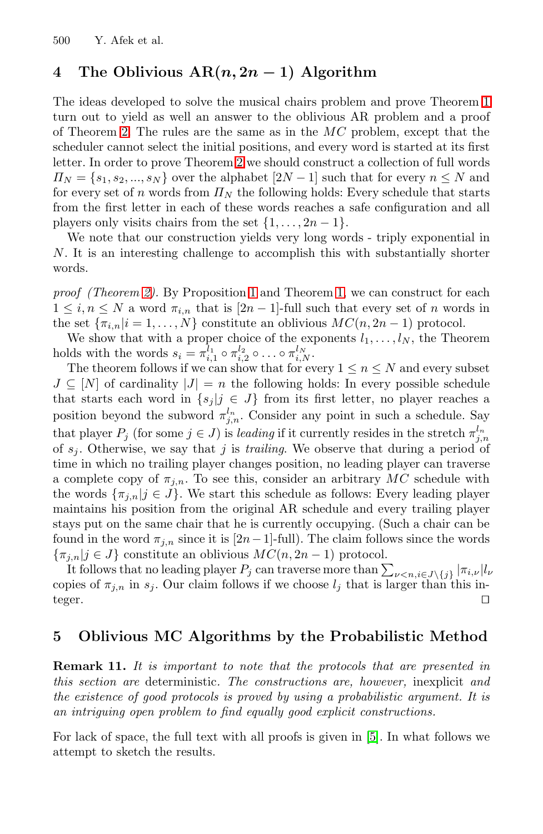## <span id="page-11-0"></span>**4 The Oblivious AR(***n,* **2***n −* **1) Algorithm**

The ideas developed to solve the musical chairs problem and prove Theorem 1 turn out to yield as well an answer to the oblivious AR problem and a proof of Theorem 2. The rules are the same as in the  $MC$  problem, except that the scheduler cannot select the initial positions, and every word is started at its first letter. In order to prove Theorem 2 we should construct a collection of full words  $\Pi_N = \{s_1, s_2, ..., s_N\}$  $\Pi_N = \{s_1, s_2, ..., s_N\}$  $\Pi_N = \{s_1, s_2, ..., s_N\}$  over the al[ph](#page-2-0)abet  $[2N-1]$  such that for every  $n \leq N$  and for every set of n words from  $\Pi_N$  the following holds: Every schedule that starts from the first letter in each of these words reaches a safe configuration and all players only visits chairs from the set  $\{1,\ldots,2n-1\}$ .

We note that our construction yields very long words - triply exponential in N. It is an interesting challenge to accomplish this with substantially shorter words.

*proof (Theorem 2).* By Proposition 1 and Theorem 1, we can construct for each  $1 \leq i, n \leq N$  a word  $\pi_{i,n}$  that is  $[2n-1]$ -full such that every set of n words in the set  $\{\pi_{i,n}|i=1,\ldots,N\}$  constitute an oblivious  $MC(n, 2n-1)$  protocol.

We show that with a proper choice of the exponents  $l_1,\ldots,l_N$ , the Theorem holds with the words  $s_i = \pi_{i,1}^{\hat{l}_1} \circ \pi_{i,2}^{l_2} \circ \ldots \circ \pi_{i,N}^{l_N}$ .

The theorem follows if we can show that for every  $1 \leq n \leq N$  and every subset  $J \subseteq [N]$  of cardinality  $|J| = n$  the following holds: In every possible schedule that starts each word in  $\{s_j | j \in J\}$  from its first letter, no player reaches a position beyond the subword  $\pi_{i,n}^{l_n}$ . Consider any point in such a schedule. Say that player  $P_j$  (for some  $j \in J$ ) is *leading* if it currently resides in the stretch  $\pi^{l_n}_{j,n}$ of  $s_j$ . Otherwise, we say that j is *trailing*. We observe that during a period of time in which no trailing player changes position, no leading player can traverse a complete copy of  $\pi_{j,n}$ . To see this, consider an arbitrary MC schedule with the words  $\{\pi_{j,n}|j \in J\}$ . We start this schedule as follows: Every leading player maintains his position from the original AR schedule and every trailing player stays put on the same chair that he is currently occupying. (Such a chair can be found in the word  $\pi_{i,n}$  since it is [2n – 1]-full). The claim follows since the words  $\{\pi_{i,n}|j\in J\}$  constitute an oblivious  $MC(n, 2n-1)$  protocol.

It follows that no leading player  $P_j$  can traverse more than  $\sum_{\nu \leq n,i \in J\setminus\{j\}} |\pi_{i,\nu}| l_{\nu}$ copies of  $\pi_{j,n}$  in  $s_j$ . Our claim follows if we choose  $l_j$  that is larger than this integer.

## **5 Oblivious MC Algorithms by the Probabilistic Method**

**Remark 11.** *It is important to note that the protocols that are presented in this section are* deterministic*. The constructions are, however,* inexplicit *and the existence of good protocols is proved by using a probabilistic argument. It is an intriguing open problem to find equally good explicit constructions.*

For lack of space, the full text with all proofs is given in [5]. In what follows we attempt to sketch the results.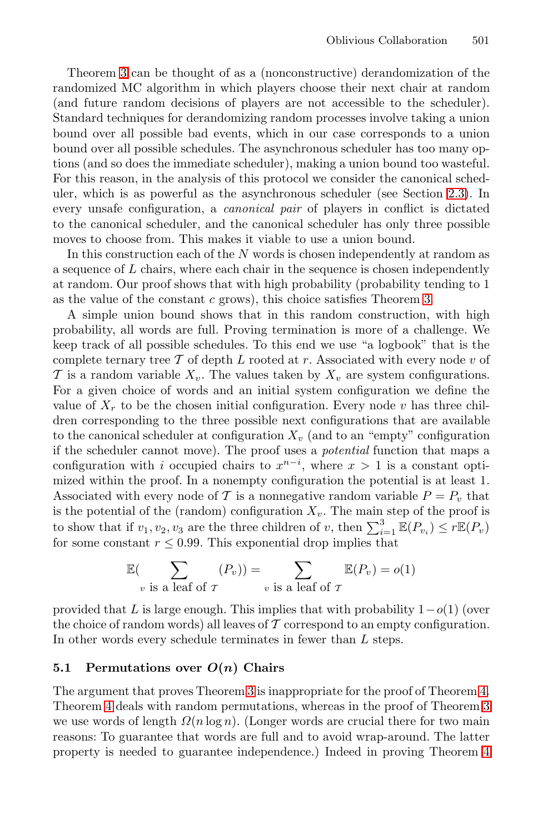Theorem 3 can be thought of as a (nonconstructi[ve\) d](#page-8-2)erandomization of the randomized MC algorithm in which players choose their next chair at random (and future random decisions of players are not accessible to the scheduler). Standard techniques for derandomizing random processes involve taking a union bound over all possible bad events, which in our case corresponds to a union bound over all possible schedules. The asynchronous scheduler has too many options (and so does the immediate scheduler), making a union bound too wasteful. For this reason, in the analysis of this protocol [we](#page-2-1) consider the canonical scheduler, which is as powerful as the asynchronous scheduler (see Section 2.3). In every unsafe configuration, a *canonical pair* of players in conflict is dictated to the canonical scheduler, and the canonical scheduler has only three possible moves to choose from. This makes it viable to use a union bound.

In this construction each of the  $N$  words is chosen independently at random as a sequence of L chairs, where each chair in the sequence is chosen independently at random. Our proof shows that with high probability (probability tending to 1 as the value of the constant  $c$  grows), this choice satisfies Theorem 3.

A simple union bound shows that in this random construction, with high probability, all words are full. Proving termination is more of a challenge. We keep track of all possible schedules. To this end we use "a logbook" that is the complete ternary tree  $T$  of depth  $L$  rooted at  $r$ . Associated with every node  $v$  of  $\mathcal T$  is a random variable  $X_v$ . The values taken by  $X_v$  are system configurations. For a given choice of words and an initial system configuration we define the value of  $X_r$  to be the chosen initial configuration. Every node v has three children corresponding to the three possible next configurations that are available to the canonical scheduler at configuration  $X_v$  (and to an "empty" configuration if the scheduler cannot move). The proof uses a *potential* function that maps a configuration with i occupied chairs to  $x^{n-i}$ , where  $x > 1$  is a constant optimized within the proof. In a nonempty configuration the potential is at least 1. Associated with every node of T is a nonnegative random variable  $P = P_v$  that is the potential of the (random) configuration  $X_v$ . The main step of the proof is to show that if  $v_1, v_2, v_3$  are the three children of v, then  $\sum_{i=1}^{3} \mathbb{E}(P_{v_i}) \le r \mathbb{E}(P_v)$ for some constant  $r \leq 0.99$ . This exponential drop implies that

$$
\mathbb{E}(\sum_{v \text{ is a leaf of } \mathcal{T}}(P_v)) = \sum_{v \text{ is a leaf of } \mathcal{T}} \mathbb{E}(P_v) = o(1)
$$

provided that L is large enough. This implies that with probability  $1-o(1)$  (over the choice of random words) all leaves of  $\mathcal T$  correspond to an empty configuration. In other words every schedule [te](#page-3-0)rminates in fewer than  $L$  steps.

### **5.1 Permutations over**  $O(n)$  **Chairs**

The argument that proves Theorem 3 is inappropriate for the proof of Theorem 4. Theorem 4 deals with random permutations, whereas in the proof of Theorem 3 we use words of length  $\Omega(n \log n)$ . (Longer words are crucial there for two main reasons: To guarantee that words are full and to avoid wrap-around. The latter property is needed to guarantee independence.) Indeed in proving Theorem 4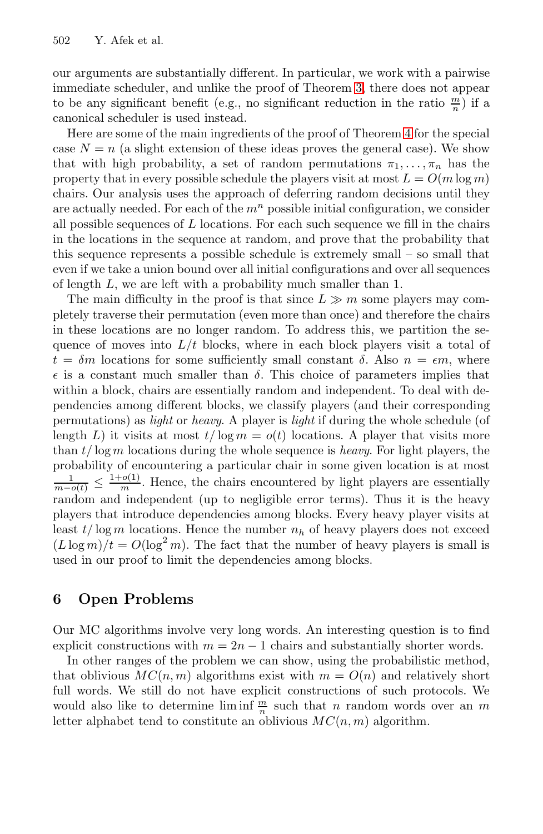our arguments are substantially different. In particular, we work with a pairwise immediate scheduler, and unlike the proof of Theorem 3, there does not appear to be any significant benefit (e.g., no significant reduction in the ratio  $\frac{m}{n}$ ) if a canonical scheduler is used instead.

Here are some of the main ingredients of the proof of Theorem 4 for the special case  $N = n$  (a slight extension of these ideas proves the general case). We show that with high probability, a set of random permutations  $\pi_1, \ldots, \pi_n$  has the property that in every possible schedule the players visit at most  $L = O(m \log m)$ chairs. Our analysis uses the approach of deferring random decisions until they are actually needed. For each of the  $m<sup>n</sup>$  possible initial configuration, we consider all possible sequences of  $L$  locations. For each such sequence we fill in the chairs in the locations in the sequence at random, and prove that the probability that this sequence represents a possible schedule is extremely small – so small that even if we take a union bound over all initial configurations and over all sequences of length L, we are left with a probability much smaller than 1.

The main difficulty in the proof is that since  $L \gg m$  some players may completely traverse their permutation (even more than once) and therefore the chairs in these locations are no longer random. To address this, we partition the sequence of moves into  $L/t$  blocks, where in each block players visit a total of  $t = \delta m$  locations for some sufficiently small constant  $\delta$ . Also  $n = \epsilon m$ , where  $\epsilon$  is a constant much smaller than  $\delta$ . This choice of parameters implies that within a block, chairs are essentially random and independent. To deal with dependencies among different blocks, we classify players (and their corresponding permutations) as *light* or *heavy*. A player is *light* if during the whole schedule (of length L) it visits at most  $t/\log m = o(t)$  locations. A player that visits more than t/ log m locations during the whole sequence is *heavy*. For light players, the probability of encountering a particular chair in some given location is at most  $\frac{1}{m-o(t)} \leq \frac{1+o(1)}{m}$ . Hence, the chairs encountered by light players are essentially random and independent (up to negligible error terms). Thus it is the heavy players that introduce dependencies among blocks. Every heavy player visits at least  $t/\log m$  locations. Hence the number  $n_h$  of heavy players does not exceed  $(L \log m)/t = O(\log^2 m)$ . The fact that the number of heavy players is small is used in our proof to limit the dependencies among blocks.

### **6 Open Problems**

Our MC algorithms involve very long words. An interesting question is to find explicit constructions with  $m = 2n - 1$  chairs and substantially shorter words.

In other ranges of the problem we can show, using the probabilistic method, that oblivious  $MC(n, m)$  algorithms exist with  $m = O(n)$  and relatively short full words. We still do not have explicit constructions of such protocols. We would also like to determine  $\liminf_{n \to \infty} \frac{m}{n}$  such that n random words over an m letter alphabet tend to constitute an oblivious  $MC(n, m)$  algorithm.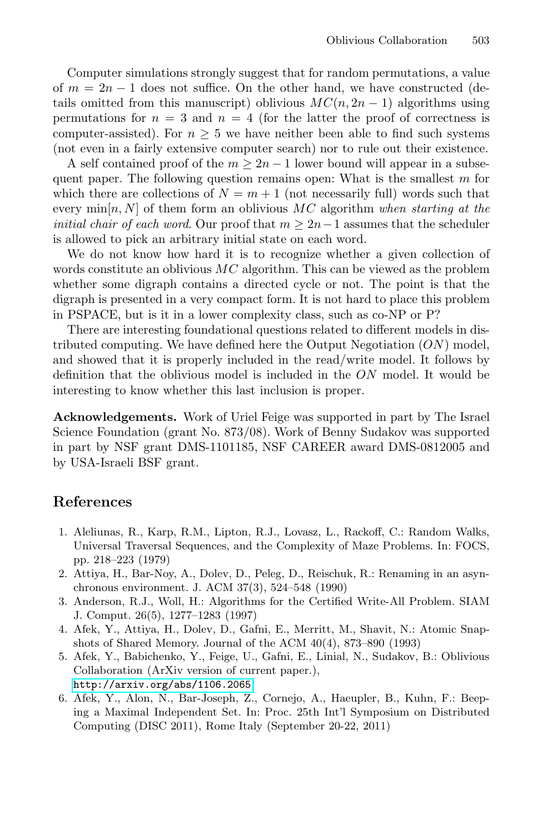Computer simulations strongly suggest that for random permutations, a value of  $m = 2n - 1$  does not suffice. On the other hand, we have constructed (details omitted from this manuscript) oblivious  $MC(n, 2n - 1)$  algorithms using permutations for  $n = 3$  and  $n = 4$  (for the latter the proof of correctness is computer-assisted). For  $n \geq 5$  we have neither been able to find such systems (not even in a fairly extensive computer search) nor to rule out their existence.

A self contained proof of the  $m \geq 2n-1$  lower bound will appear in a subsequent paper. The following question remains open: What is the smallest  $m$  for which there are collections of  $N = m + 1$  (not necessarily full) words such that every min[n, N] of them form an oblivious MC algorithm *when starting at the initial chair of each word.* Our proof that  $m \geq 2n-1$  assumes that the scheduler is allowed to pick an arbitrary initial state on each word.

We do not know how hard it is to recognize whether a given collection of words constitute an oblivious  $MC$  algorithm. This can be viewed as the problem whether some digraph contains a directed cycle or not. The point is that the digraph is presented in a very compact form. It is not hard to place this problem in PSPACE, but is it in a lower complexity class, such as co-NP or P?

There are interesting foundational questions related to different models in distributed computing. We have defined here the Output Negotiation  $(ON)$  model, and showed that it is properly included in the read/write model. It follows by definition that the oblivious model is included in the ON model. It would be interesting to know whether this last inclusion is proper.

<span id="page-14-3"></span><span id="page-14-0"></span>**Acknowledgements.** Work of Uriel Feige was supported in part by The Israel Science Foundation (grant No. 873/08). Work of Benny Sudakov was supported in part by NSF grant DMS-1101185, NSF CAREER award DMS-0812005 and by USA-Israeli BSF grant.

### <span id="page-14-4"></span><span id="page-14-1"></span>**References**

- 1. Aleliunas, R., Karp, R.M., Lipton, R.J., Lovasz, L., Rackoff, C.: Random Walks, Universal Traversal Sequences, and the Complexity of Maze Problems. In: FOCS, pp. 218–223 (1979)
- <span id="page-14-2"></span>[2. Attiya, H., Bar](http://arxiv.org/abs/1106.2065)-Noy, A., Dolev, D., Peleg, D., Reischuk, R.: Renaming in an asynchronous environment. J. ACM 37(3), 524–548 (1990)
- 3. Anderson, R.J., Woll, H.: Algorithms for the Certified Write-All Problem. SIAM J. Comput. 26(5), 1277–1283 (1997)
- 4. Afek, Y., Attiya, H., Dolev, D., Gafni, E., Merritt, M., Shavit, N.: Atomic Snapshots of Shared Memory. Journal of the ACM 40(4), 873–890 (1993)
- 5. Afek, Y., Babichenko, Y., Feige, U., Gafni, E., Linial, N., Sudakov, B.: Oblivious Collaboration (ArXiv version of current paper.),
	- http://arxiv.org/abs/1106.2065
- 6. Afek, Y., Alon, N., Bar-Joseph, Z., Cornejo, A., Haeupler, B., Kuhn, F.: Beeping a Maximal Independent Set. In: Proc. 25th Int'l Symposium on Distributed Computing (DISC 2011), Rome Italy (September 20-22, 2011)